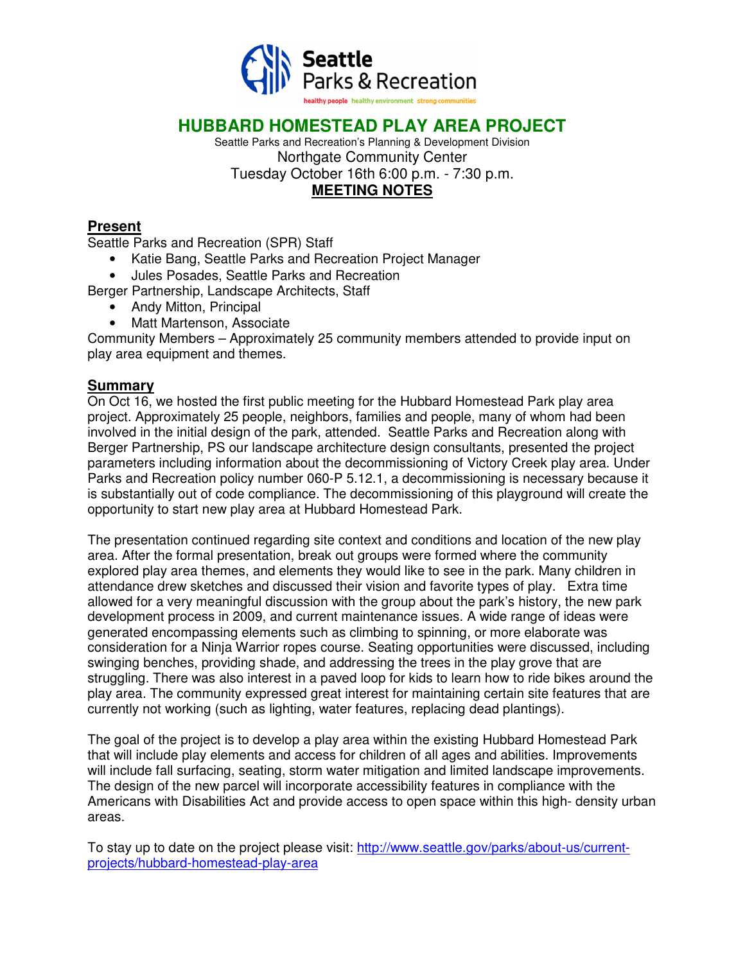

# **HUBBARD HOMESTEAD PLAY AREA PROJECT**

Seattle Parks and Recreation's Planning & Development Division Northgate Community Center Tuesday October 16th 6:00 p.m. - 7:30 p.m. **MEETING NOTES** 

### **Present**

Seattle Parks and Recreation (SPR) Staff

- Katie Bang, Seattle Parks and Recreation Project Manager
- Jules Posades, Seattle Parks and Recreation

Berger Partnership, Landscape Architects, Staff

- Andy Mitton, Principal
- Matt Martenson, Associate

Community Members – Approximately 25 community members attended to provide input on play area equipment and themes.

#### **Summary**

On Oct 16, we hosted the first public meeting for the Hubbard Homestead Park play area project. Approximately 25 people, neighbors, families and people, many of whom had been involved in the initial design of the park, attended. Seattle Parks and Recreation along with Berger Partnership, PS our landscape architecture design consultants, presented the project parameters including information about the decommissioning of Victory Creek play area. Under Parks and Recreation policy number 060-P 5.12.1, a decommissioning is necessary because it is substantially out of code compliance. The decommissioning of this playground will create the opportunity to start new play area at Hubbard Homestead Park.

The presentation continued regarding site context and conditions and location of the new play area. After the formal presentation, break out groups were formed where the community explored play area themes, and elements they would like to see in the park. Many children in attendance drew sketches and discussed their vision and favorite types of play. Extra time allowed for a very meaningful discussion with the group about the park's history, the new park development process in 2009, and current maintenance issues. A wide range of ideas were generated encompassing elements such as climbing to spinning, or more elaborate was consideration for a Ninja Warrior ropes course. Seating opportunities were discussed, including swinging benches, providing shade, and addressing the trees in the play grove that are struggling. There was also interest in a paved loop for kids to learn how to ride bikes around the play area. The community expressed great interest for maintaining certain site features that are currently not working (such as lighting, water features, replacing dead plantings).

The goal of the project is to develop a play area within the existing Hubbard Homestead Park that will include play elements and access for children of all ages and abilities. Improvements will include fall surfacing, seating, storm water mitigation and limited landscape improvements. The design of the new parcel will incorporate accessibility features in compliance with the Americans with Disabilities Act and provide access to open space within this high- density urban areas.

To stay up to date on the project please visit: http://www.seattle.gov/parks/about-us/currentprojects/hubbard-homestead-play-area